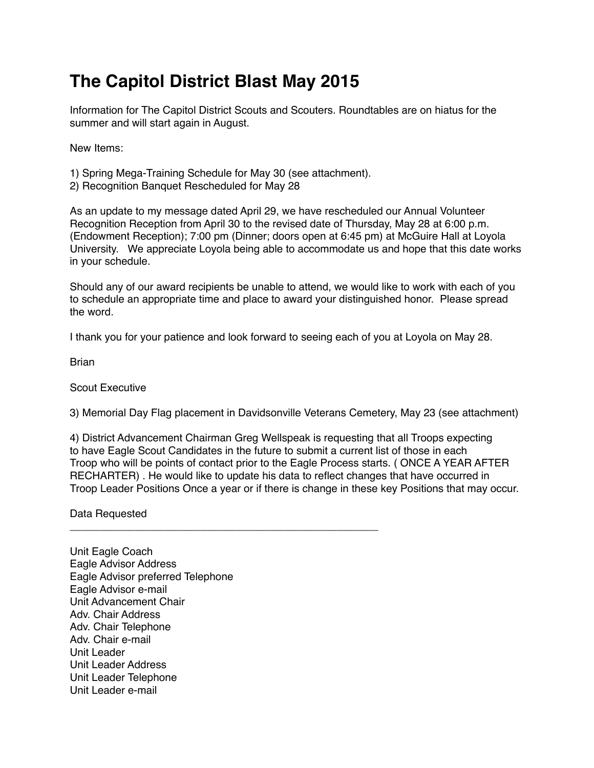## **The Capitol District Blast May 2015**

Information for The Capitol District Scouts and Scouters. Roundtables are on hiatus for the summer and will start again in August.

New Items:

- 1) Spring Mega-Training Schedule for May 30 (see attachment).
- 2) Recognition Banquet Rescheduled for May 28

As an update to my message dated April 29, we have rescheduled our Annual Volunteer Recognition Reception from April 30 to the revised date of Thursday, May 28 at 6:00 p.m. (Endowment Reception); 7:00 pm (Dinner; doors open at 6:45 pm) at McGuire Hall at Loyola University. We appreciate Loyola being able to accommodate us and hope that this date works in your schedule.

Should any of our award recipients be unable to attend, we would like to work with each of you to schedule an appropriate time and place to award your distinguished honor. Please spread the word.

I thank you for your patience and look forward to seeing each of you at Loyola on May 28.

**Brian** 

Scout Executive

3) Memorial Day Flag placement in Davidsonville Veterans Cemetery, May 23 (see attachment)

4) District Advancement Chairman Greg Wellspeak is requesting that all Troops expecting to have Eagle Scout Candidates in the future to submit a current list of those in each Troop who will be points of contact prior to the Eagle Process starts. ( ONCE A YEAR AFTER RECHARTER) . He would like to update his data to reflect changes that have occurred in Troop Leader Positions Once a year or if there is change in these key Positions that may occur.

Data Requested

\_\_\_\_\_\_\_\_\_\_\_\_\_\_\_\_\_\_\_\_\_\_\_\_\_\_\_\_\_\_\_\_\_\_\_\_\_\_\_\_\_\_\_\_\_\_\_\_\_\_\_\_

Unit Eagle Coach Eagle Advisor Address Eagle Advisor preferred Telephone Eagle Advisor e-mail Unit Advancement Chair Adv. Chair Address Adv. Chair Telephone Adv. Chair e-mail Unit Leader Unit Leader Address Unit Leader Telephone Unit Leader e-mail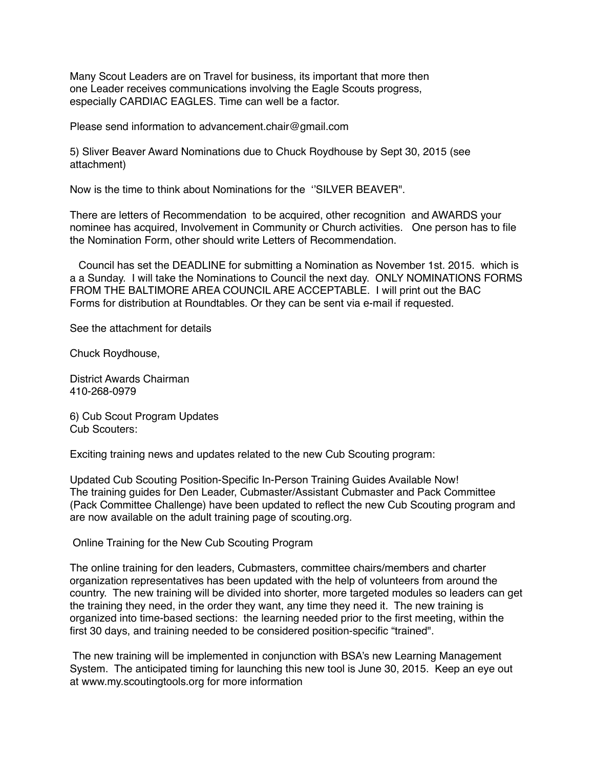Many Scout Leaders are on Travel for business, its important that more then one Leader receives communications involving the Eagle Scouts progress, especially CARDIAC EAGLES. Time can well be a factor.

Please send information to advancement.chair@gmail.com

5) Sliver Beaver Award Nominations due to Chuck Roydhouse by Sept 30, 2015 (see attachment)

Now is the time to think about Nominations for the ''SILVER BEAVER".

There are letters of Recommendation to be acquired, other recognition and AWARDS your nominee has acquired, Involvement in Community or Church activities. One person has to file the Nomination Form, other should write Letters of Recommendation.

 Council has set the DEADLINE for submitting a Nomination as November 1st. 2015. which is a a Sunday. I will take the Nominations to Council the next day. ONLY NOMINATIONS FORMS FROM THE BALTIMORE AREA COUNCIL ARE ACCEPTABLE. I will print out the BAC Forms for distribution at Roundtables. Or they can be sent via e-mail if requested.

See the attachment for details

Chuck Roydhouse,

District Awards Chairman 410-268-0979

6) Cub Scout Program Updates Cub Scouters:

Exciting training news and updates related to the new Cub Scouting program:

Updated Cub Scouting Position-Specific In-Person Training Guides Available Now! The training guides for Den Leader, Cubmaster/Assistant Cubmaster and Pack Committee (Pack Committee Challenge) have been updated to reflect the new Cub Scouting program and are now available on the adult training page of scouting.org.

Online Training for the New Cub Scouting Program

The online training for den leaders, Cubmasters, committee chairs/members and charter organization representatives has been updated with the help of volunteers from around the country. The new training will be divided into shorter, more targeted modules so leaders can get the training they need, in the order they want, any time they need it. The new training is organized into time-based sections: the learning needed prior to the first meeting, within the first 30 days, and training needed to be considered position-specific "trained".

 The new training will be implemented in conjunction with BSA's new Learning Management System. The anticipated timing for launching this new tool is June 30, 2015. Keep an eye out at www.my.scoutingtools.org for more information